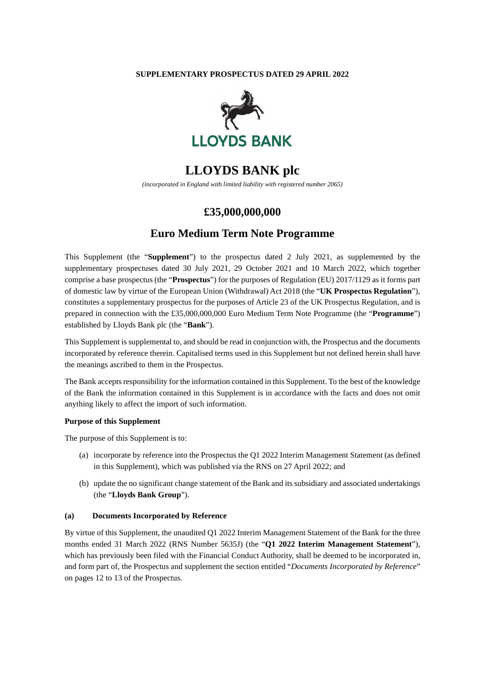### **SUPPLEMENTARY PROSPECTUS DATED 29 APRIL 2022**



# **LLOYDS BANK plc**

*(incorporated in England with limited liability with registered number 2065)* 

## **£35,000,000,000**

## **Euro Medium Term Note Programme**

This Supplement (the "**Supplement**") to the prospectus dated 2 July 2021, as supplemented by the supplementary prospectuses dated 30 July 2021, 29 October 2021 and 10 March 2022, which together comprise a base prospectus (the "**Prospectus**") for the purposes of Regulation (EU) 2017/1129 as it forms part of domestic law by virtue of the European Union (Withdrawal) Act 2018 (the "**UK Prospectus Regulation**"), constitutes a supplementary prospectus for the purposes of Article 23 of the UK Prospectus Regulation, and is prepared in connection with the £35,000,000,000 Euro Medium Term Note Programme (the "**Programme**") established by Lloyds Bank plc (the "**Bank**").

This Supplement is supplemental to, and should be read in conjunction with, the Prospectus and the documents incorporated by reference therein. Capitalised terms used in this Supplement but not defined herein shall have the meanings ascribed to them in the Prospectus.

The Bank accepts responsibility for the information contained in this Supplement. To the best of the knowledge of the Bank the information contained in this Supplement is in accordance with the facts and does not omit anything likely to affect the import of such information.

#### **Purpose of this Supplement**

The purpose of this Supplement is to:

- (a) incorporate by reference into the Prospectus the Q1 2022 Interim Management Statement (as defined in this Supplement), which was published via the RNS on 27 April 2022; and
- (b) update the no significant change statement of the Bank and its subsidiary and associated undertakings (the "**Lloyds Bank Group**").

#### **(a) Documents Incorporated by Reference**

By virtue of this Supplement, the unaudited Q1 2022 Interim Management Statement of the Bank for the three months ended 31 March 2022 (RNS Number 5635J) (the "**Q1 2022 Interim Management Statement**"), which has previously been filed with the Financial Conduct Authority, shall be deemed to be incorporated in, and form part of, the Prospectus and supplement the section entitled "*Documents Incorporated by Reference*" on pages 12 to 13 of the Prospectus.